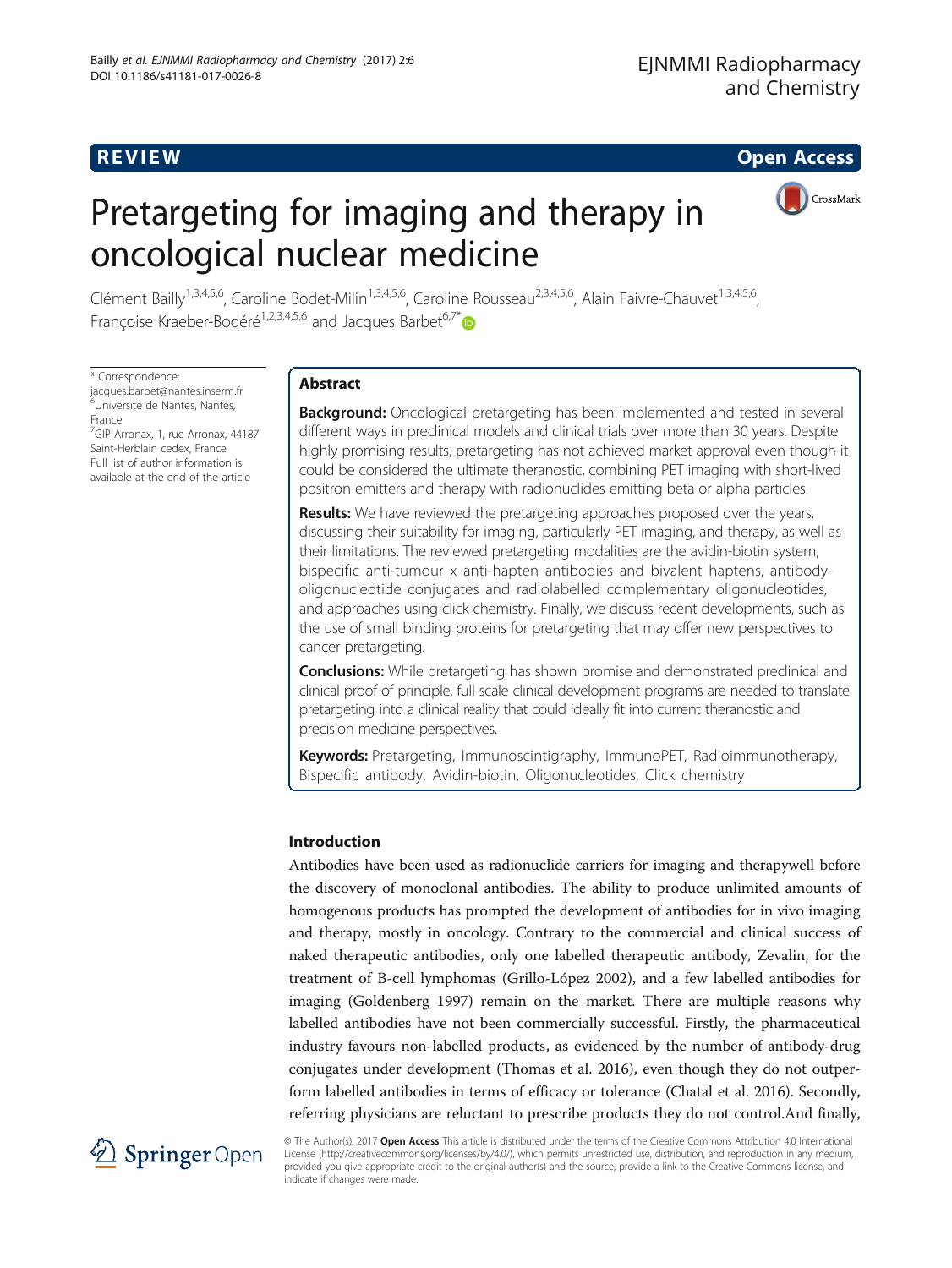**REVIEW CONSTRUCTION CONSTRUCTION CONSTRUCTS** 

# Pretargeting for imaging and therapy in oncological nuclear medicine



Clément Bailly<sup>1,3,4,5,6</sup>, Caroline Bodet-Milin<sup>1,3,4,5,6</sup>, Caroline Rousseau<sup>2,3,4,5,6</sup>, Alain Faivre-Chauvet<sup>1,3,4,5,6</sup>, Françoise Kraeber-Bodéré<sup>1,2,3,4,5,6</sup> and Jacques Barbet<sup>6,7\*</sup>

\* Correspondence: [jacques.barbet@nantes.inserm.fr](mailto:jacques.barbet@nantes.inserm.fr) 6 Université de Nantes, Nantes, France <sup>7</sup>GIP Arronax, 1, rue Arronax, 44187 Saint-Herblain cedex, France Full list of author information is available at the end of the article

## Abstract

**Background:** Oncological pretargeting has been implemented and tested in several different ways in preclinical models and clinical trials over more than 30 years. Despite highly promising results, pretargeting has not achieved market approval even though it could be considered the ultimate theranostic, combining PET imaging with short-lived positron emitters and therapy with radionuclides emitting beta or alpha particles.

Results: We have reviewed the pretargeting approaches proposed over the years, discussing their suitability for imaging, particularly PET imaging, and therapy, as well as their limitations. The reviewed pretargeting modalities are the avidin-biotin system, bispecific anti-tumour x anti-hapten antibodies and bivalent haptens, antibodyoligonucleotide conjugates and radiolabelled complementary oligonucleotides, and approaches using click chemistry. Finally, we discuss recent developments, such as the use of small binding proteins for pretargeting that may offer new perspectives to cancer pretargeting.

**Conclusions:** While pretargeting has shown promise and demonstrated preclinical and clinical proof of principle, full-scale clinical development programs are needed to translate pretargeting into a clinical reality that could ideally fit into current theranostic and precision medicine perspectives.

Keywords: Pretargeting, Immunoscintigraphy, ImmunoPET, Radioimmunotherapy, Bispecific antibody, Avidin-biotin, Oligonucleotides, Click chemistry

## Introduction

Antibodies have been used as radionuclide carriers for imaging and therapywell before the discovery of monoclonal antibodies. The ability to produce unlimited amounts of homogenous products has prompted the development of antibodies for in vivo imaging and therapy, mostly in oncology. Contrary to the commercial and clinical success of naked therapeutic antibodies, only one labelled therapeutic antibody, Zevalin, for the treatment of B-cell lymphomas (Grillo-López [2002\)](#page-11-0), and a few labelled antibodies for imaging (Goldenberg [1997](#page-11-0)) remain on the market. There are multiple reasons why labelled antibodies have not been commercially successful. Firstly, the pharmaceutical industry favours non-labelled products, as evidenced by the number of antibody-drug conjugates under development (Thomas et al. [2016\)](#page-12-0), even though they do not outperform labelled antibodies in terms of efficacy or tolerance (Chatal et al. [2016](#page-11-0)). Secondly, referring physicians are reluctant to prescribe products they do not control.And finally,



© The Author(s). 2017 Open Access This article is distributed under the terms of the Creative Commons Attribution 4.0 International License [\(http://creativecommons.org/licenses/by/4.0/](http://creativecommons.org/licenses/by/4.0/)), which permits unrestricted use, distribution, and reproduction in any medium, provided you give appropriate credit to the original author(s) and the source, provide a link to the Creative Commons license, and indicate if changes were made.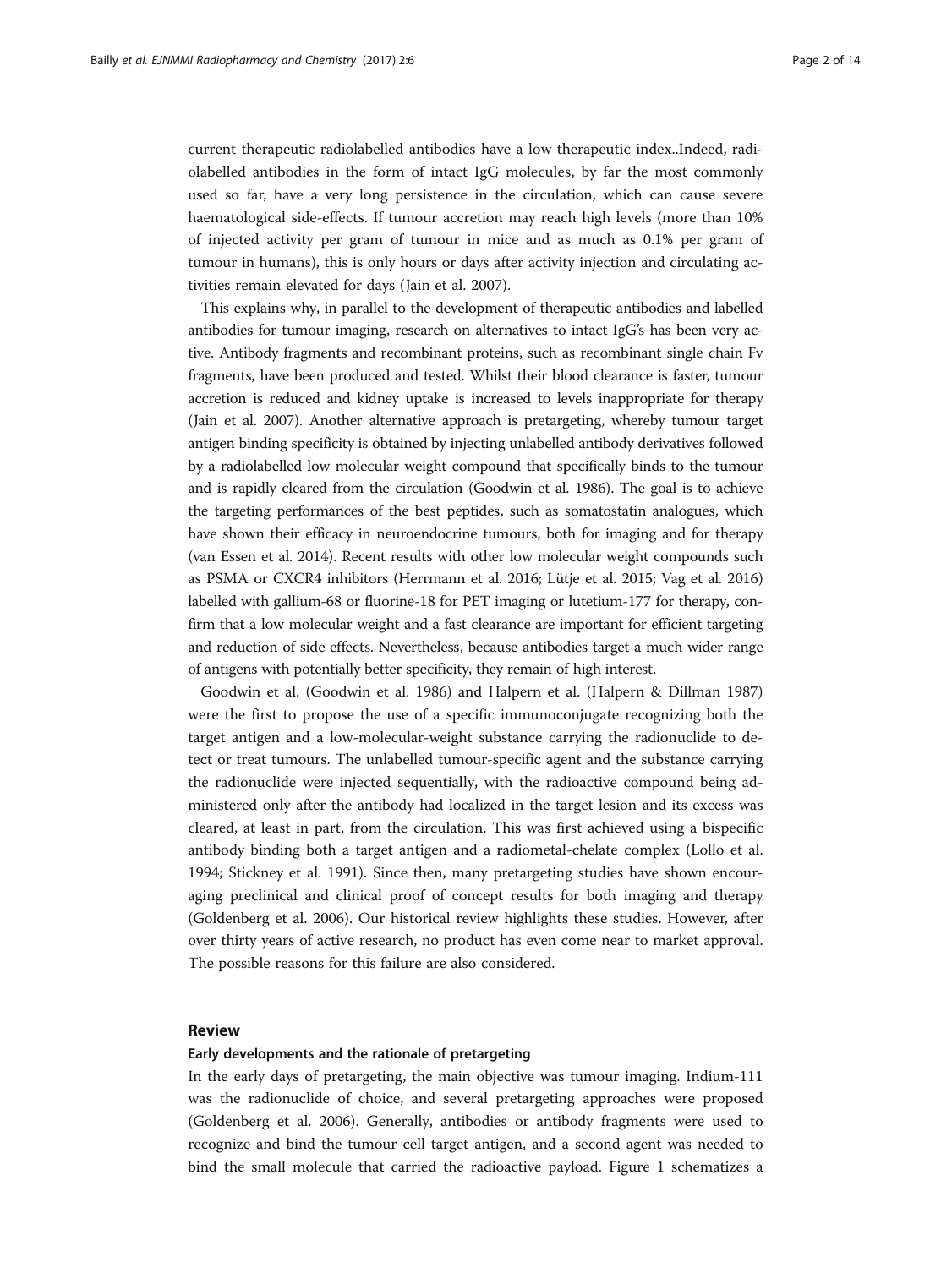current therapeutic radiolabelled antibodies have a low therapeutic index..Indeed, radiolabelled antibodies in the form of intact IgG molecules, by far the most commonly used so far, have a very long persistence in the circulation, which can cause severe haematological side-effects. If tumour accretion may reach high levels (more than 10% of injected activity per gram of tumour in mice and as much as 0.1% per gram of tumour in humans), this is only hours or days after activity injection and circulating activities remain elevated for days (Jain et al. [2007](#page-11-0)).

This explains why, in parallel to the development of therapeutic antibodies and labelled antibodies for tumour imaging, research on alternatives to intact IgG's has been very active. Antibody fragments and recombinant proteins, such as recombinant single chain Fv fragments, have been produced and tested. Whilst their blood clearance is faster, tumour accretion is reduced and kidney uptake is increased to levels inappropriate for therapy (Jain et al. [2007](#page-11-0)). Another alternative approach is pretargeting, whereby tumour target antigen binding specificity is obtained by injecting unlabelled antibody derivatives followed by a radiolabelled low molecular weight compound that specifically binds to the tumour and is rapidly cleared from the circulation (Goodwin et al. [1986](#page-11-0)). The goal is to achieve the targeting performances of the best peptides, such as somatostatin analogues, which have shown their efficacy in neuroendocrine tumours, both for imaging and for therapy (van Essen et al. [2014\)](#page-13-0). Recent results with other low molecular weight compounds such as PSMA or CXCR4 inhibitors (Herrmann et al. [2016;](#page-11-0) Lütje et al. [2015](#page-12-0); Vag et al. [2016](#page-12-0)) labelled with gallium-68 or fluorine-18 for PET imaging or lutetium-177 for therapy, confirm that a low molecular weight and a fast clearance are important for efficient targeting and reduction of side effects. Nevertheless, because antibodies target a much wider range of antigens with potentially better specificity, they remain of high interest.

Goodwin et al. (Goodwin et al. [1986\)](#page-11-0) and Halpern et al. (Halpern & Dillman [1987](#page-11-0)) were the first to propose the use of a specific immunoconjugate recognizing both the target antigen and a low-molecular-weight substance carrying the radionuclide to detect or treat tumours. The unlabelled tumour-specific agent and the substance carrying the radionuclide were injected sequentially, with the radioactive compound being administered only after the antibody had localized in the target lesion and its excess was cleared, at least in part, from the circulation. This was first achieved using a bispecific antibody binding both a target antigen and a radiometal-chelate complex (Lollo et al. [1994](#page-12-0); Stickney et al. [1991](#page-12-0)). Since then, many pretargeting studies have shown encouraging preclinical and clinical proof of concept results for both imaging and therapy (Goldenberg et al. [2006](#page-11-0)). Our historical review highlights these studies. However, after over thirty years of active research, no product has even come near to market approval. The possible reasons for this failure are also considered.

#### Review

### Early developments and the rationale of pretargeting

In the early days of pretargeting, the main objective was tumour imaging. Indium-111 was the radionuclide of choice, and several pretargeting approaches were proposed (Goldenberg et al. [2006](#page-11-0)). Generally, antibodies or antibody fragments were used to recognize and bind the tumour cell target antigen, and a second agent was needed to bind the small molecule that carried the radioactive payload. Figure [1](#page-2-0) schematizes a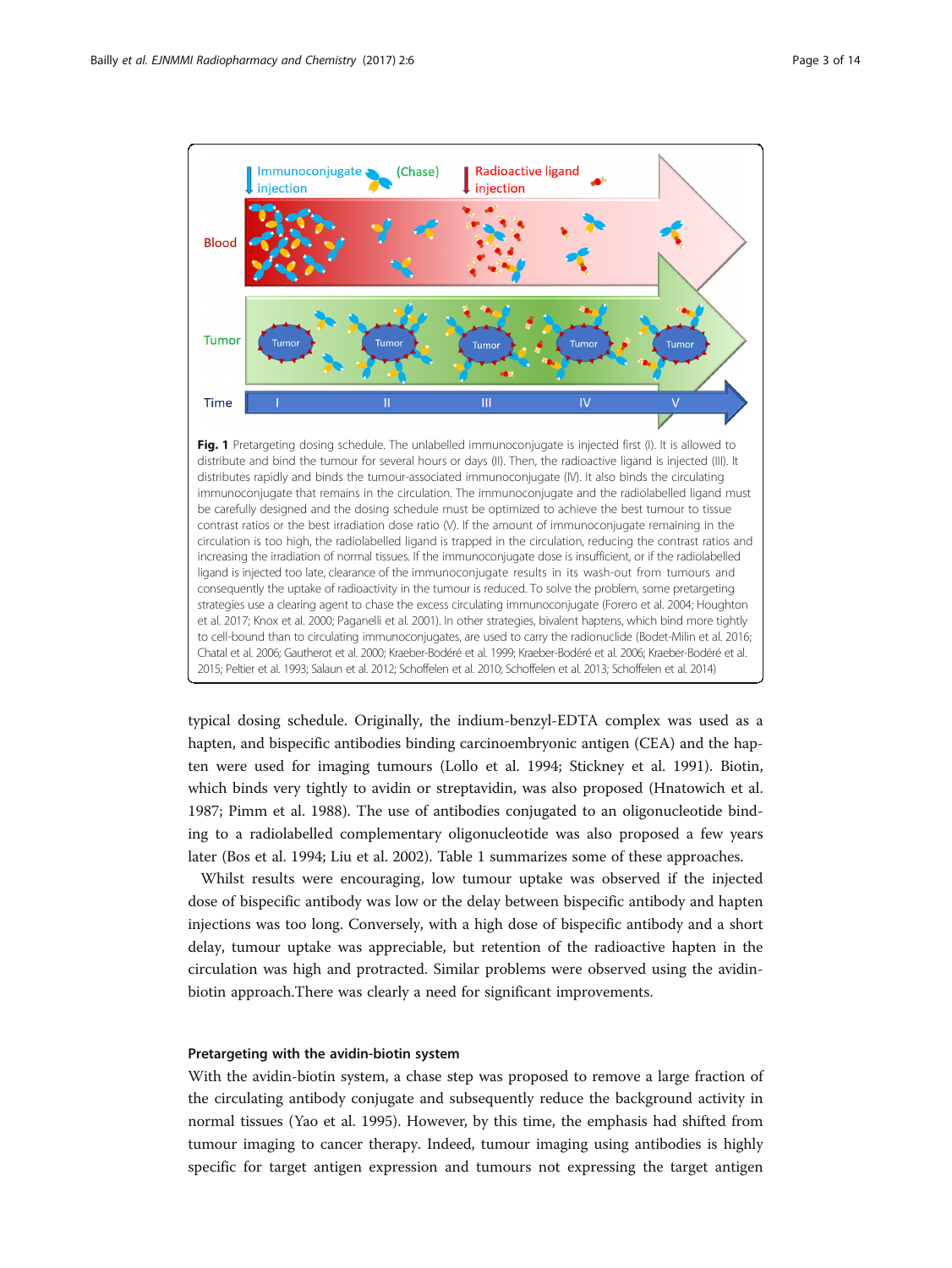<span id="page-2-0"></span>

typical dosing schedule. Originally, the indium-benzyl-EDTA complex was used as a hapten, and bispecific antibodies binding carcinoembryonic antigen (CEA) and the hapten were used for imaging tumours (Lollo et al. [1994;](#page-12-0) Stickney et al. [1991\)](#page-12-0). Biotin, which binds very tightly to avidin or streptavidin, was also proposed (Hnatowich et al. [1987](#page-11-0); Pimm et al. [1988](#page-12-0)). The use of antibodies conjugated to an oligonucleotide binding to a radiolabelled complementary oligonucleotide was also proposed a few years later (Bos et al. [1994;](#page-11-0) Liu et al. [2002](#page-12-0)). Table [1](#page-3-0) summarizes some of these approaches.

Whilst results were encouraging, low tumour uptake was observed if the injected dose of bispecific antibody was low or the delay between bispecific antibody and hapten injections was too long. Conversely, with a high dose of bispecific antibody and a short delay, tumour uptake was appreciable, but retention of the radioactive hapten in the circulation was high and protracted. Similar problems were observed using the avidinbiotin approach.There was clearly a need for significant improvements.

## Pretargeting with the avidin-biotin system

With the avidin-biotin system, a chase step was proposed to remove a large fraction of the circulating antibody conjugate and subsequently reduce the background activity in normal tissues (Yao et al. [1995\)](#page-13-0). However, by this time, the emphasis had shifted from tumour imaging to cancer therapy. Indeed, tumour imaging using antibodies is highly specific for target antigen expression and tumours not expressing the target antigen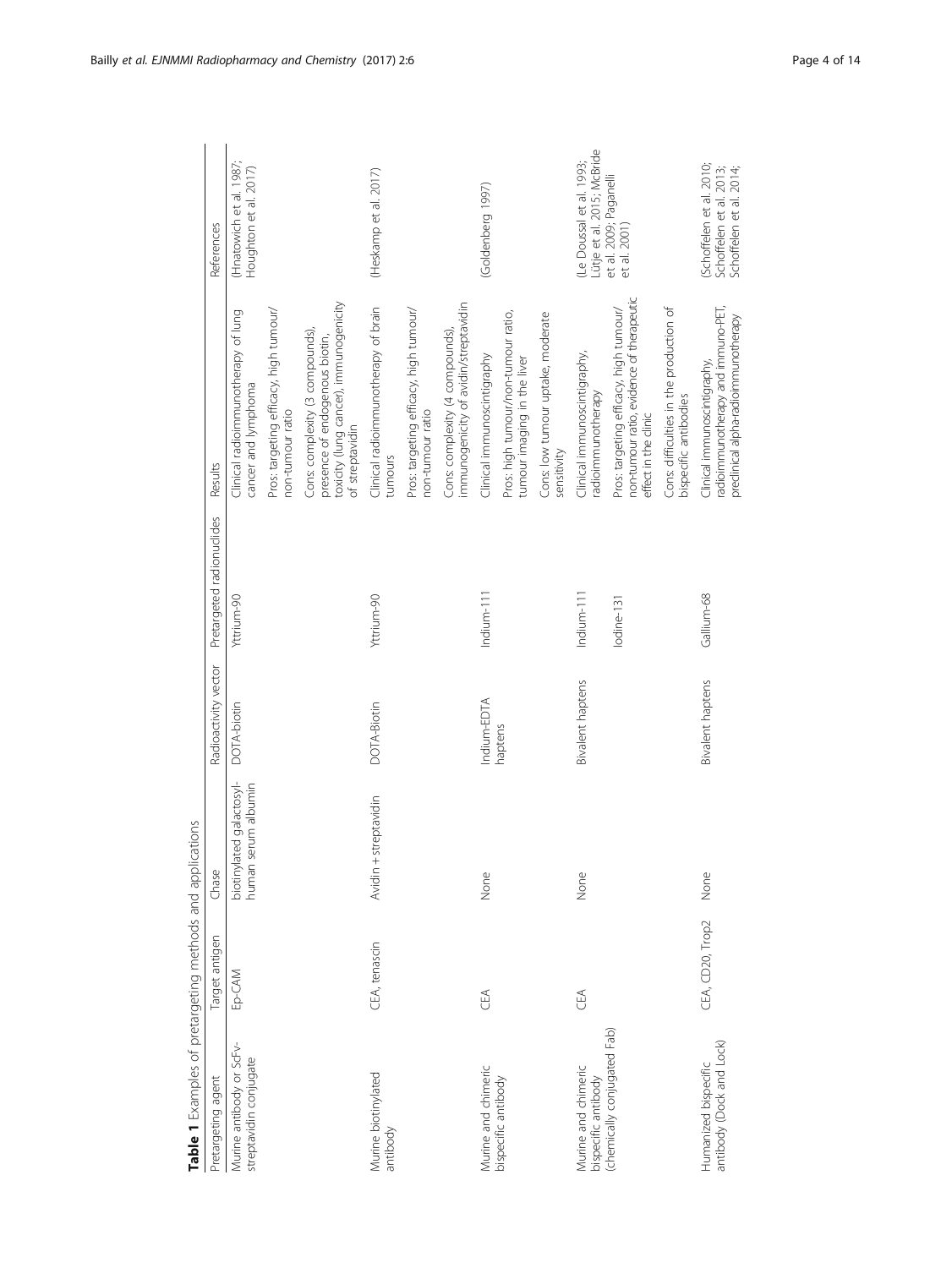<span id="page-3-0"></span>

| $\frac{1}{2}$                                      | דקר במקומה בין בין בין המקומה בין המקומה בין בין המקומה בין בין המקומה בין המקומה בין המקומה בין המקומה בין המ<br>בין המקומה בין המקומה בין המקומה בין המקומה בין המקומה בין המקומה בין המקומה בין המקומה בין המקומה בין המקומה |                                                 |                      |                           |                                                                                                                                |                                                                                |
|----------------------------------------------------|---------------------------------------------------------------------------------------------------------------------------------------------------------------------------------------------------------------------------------|-------------------------------------------------|----------------------|---------------------------|--------------------------------------------------------------------------------------------------------------------------------|--------------------------------------------------------------------------------|
| Pretargeting agent                                 | Target antigen                                                                                                                                                                                                                  | Chase                                           | Radioactivity vector | Pretargeted radionuclides | Results                                                                                                                        | References                                                                     |
| Murine antibody or ScFv-<br>streptavidin conjugate | Ep-CAM                                                                                                                                                                                                                          | biotinylated galactosyl-<br>human serum albumin | DOTA-biotin          | Yttrium-90                | Clinical radioimmunotherapy of lung<br>cancer and lymphoma                                                                     | (Hnatowich et al. 1987;<br>Houghton et al. 2017)                               |
|                                                    |                                                                                                                                                                                                                                 |                                                 |                      |                           | Pros: targeting efficacy, high tumour/<br>non-tumour ratio                                                                     |                                                                                |
|                                                    |                                                                                                                                                                                                                                 |                                                 |                      |                           | toxicity (lung cancer), immunogenicity<br>Cons: complexity (3 compounds),<br>presence of endogenous biotin,<br>of streptavidin |                                                                                |
| Murine biotinylated<br>antibody                    | CEA, tenascin                                                                                                                                                                                                                   | Avidin + streptavidin                           | DOTA-Biotin          | Yttrium-90                | Clinical radioimmunotherapy of brain<br>tumours                                                                                | (Heskamp et al. 2017)                                                          |
|                                                    |                                                                                                                                                                                                                                 |                                                 |                      |                           | Pros: targeting efficacy, high tumour/<br>non-tumour ratio                                                                     |                                                                                |
|                                                    |                                                                                                                                                                                                                                 |                                                 |                      |                           | immunogenicity of avidin/streptavidin<br>Cons: complexity (4 compounds),                                                       |                                                                                |
| Murine and chimeric                                | EA                                                                                                                                                                                                                              | None                                            | Indium-EDTA          | Indium-111                | Clinical immunoscintigraphy                                                                                                    | (Goldenberg 1997)                                                              |
| bispecific antibody                                |                                                                                                                                                                                                                                 |                                                 | haptens              |                           | Pros: high tumour/non-tumour ratio,<br>tumour imaging in the liver                                                             |                                                                                |
|                                                    |                                                                                                                                                                                                                                 |                                                 |                      |                           | Cons: low tumour uptake, moderate<br>sensitivity                                                                               |                                                                                |
| Murine and chimeric<br>bispecific antibody         | CEA                                                                                                                                                                                                                             | None                                            | Bivalent haptens     | Indium-111                | Clinical immunoscintigraphy,<br>radioimmunotherapy                                                                             | Lütje et al. 2015; McBride<br>(Le Doussal et al. 1993;                         |
| (chemically conjugated Fab)                        |                                                                                                                                                                                                                                 |                                                 |                      | lodine-131                | non-tumour ratio, evidence of therapeutic<br>Pros: targeting efficacy, high tumour/<br>effect in the clinic                    | et al. 2009; Paganelli<br>et al. 2001)                                         |
|                                                    |                                                                                                                                                                                                                                 |                                                 |                      |                           | Cons: difficulties in the production of<br>bispecific antibodies                                                               |                                                                                |
| antibody (Dock and Lock)<br>Humanized bispecific   | CEA, CD20, Trop2                                                                                                                                                                                                                | None                                            | Bivalent haptens     | Gallium-68                | radioimmunotherapy and immuno-PET,<br>preclinical alpha-radioimmunotherapy<br>Clinical immunoscintigraphy,                     | (Schoffelen et al. 2010;<br>Schoffelen et al. 2013;<br>Schoffelen et al. 2014; |

Table 1 Examples of pretargeting methods and applications **Table 1** Examples of pretargeting methods and applications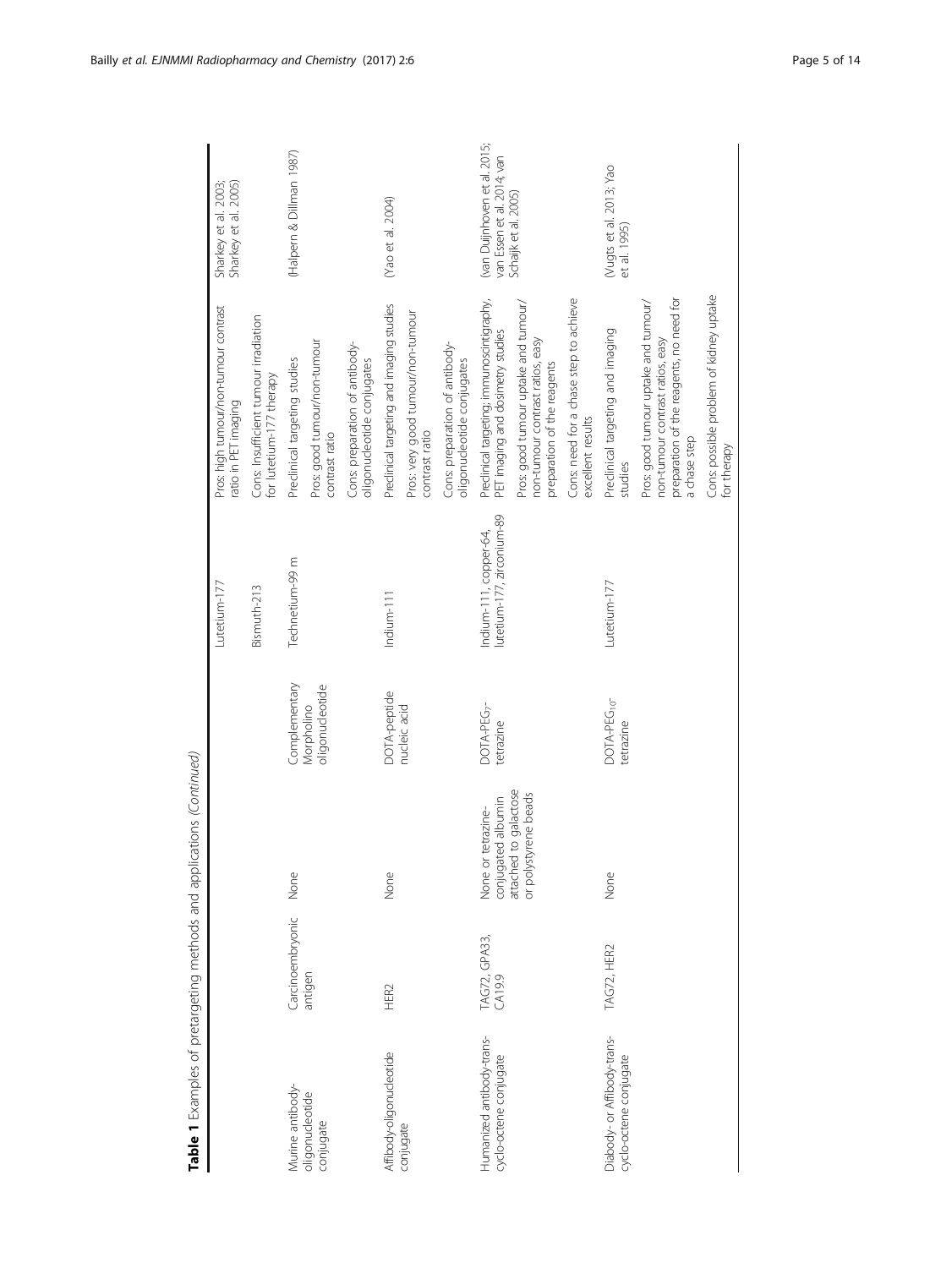|                                                       |                         |                                               |                                       | Lutetium-177                                         | Pros: high tumour/non-tumour contrast<br>ratio in PET imaging                                                                        | Sharkey et al. 2005)<br>Sharkey et al. 2003;               |
|-------------------------------------------------------|-------------------------|-----------------------------------------------|---------------------------------------|------------------------------------------------------|--------------------------------------------------------------------------------------------------------------------------------------|------------------------------------------------------------|
|                                                       |                         |                                               |                                       | Bismuth-213                                          | Cons: Insufficient tumour irradiation<br>for lutetium-177 therapy                                                                    |                                                            |
| Murine antibody-                                      | Carcinoembryonic        | None                                          | Complementary                         | Technetium-99 m                                      | Preclinical targeting studies                                                                                                        | (Halpern & Dillman 1987)                                   |
| oligonucleotide<br>conjugate                          | antigen                 |                                               | oligonucleotide<br>Morpholino         |                                                      | Pros: good tumour/non-tumour<br>contrast ratio                                                                                       |                                                            |
|                                                       |                         |                                               |                                       |                                                      | Cons: preparation of antibody-<br>oligonucleotide conjugates                                                                         |                                                            |
| Affibody-oligonudeotide                               | HER2                    | None                                          | DOTA-peptide                          | Indium-111                                           | Predinical targeting and imaging studies                                                                                             | (Yao et al. 2004)                                          |
| conjugate                                             |                         |                                               | nucleic acid                          |                                                      | Pros: very good tumour/non-tumour<br>contrast ratio                                                                                  |                                                            |
|                                                       |                         |                                               |                                       |                                                      | Cons: preparation of antibody-<br>oligonucleotide conjugates                                                                         |                                                            |
| Humanized antibody-trans-<br>cyclo-octene conjugate   | TAG72, GPA33,<br>CA19.9 | conjugated albumin<br>None or tetrazine-      | $DOTA-PEG-$<br>tetrazine              | lutetium-177, zirconium-89<br>Indium-111, copper-64, | Predinical targeting; immunoscintigraphy,<br>PET imaging and dosimetry studies                                                       | (van Duijnhoven et al. 2015;<br>van Essen et al. 2014; van |
|                                                       |                         | attached to galactose<br>or polystyrene beads |                                       |                                                      | Pros: good tumour uptake and tumour/<br>non-tumour contrast ratios, easy<br>preparation of the reagents                              | Schaijk et al. 2005)                                       |
|                                                       |                         |                                               |                                       |                                                      | Cons: need for a chase step to achieve<br>excellent results                                                                          |                                                            |
| Diabody- or Affibody-trans-<br>cyclo-octene conjugate | TAG72, HER2             | None                                          | DOTA-PEG <sub>10</sub> -<br>tetrazine | Lutetium-177                                         | Preclinical targeting and imaging<br>studies                                                                                         | Wugts et al. 2013; Yao<br>et al. 1995)                     |
|                                                       |                         |                                               |                                       |                                                      | preparation of the reagents, no need for<br>Pros: good tumour uptake and tumour/<br>non-tumour contrast ratios, easy<br>a chase step |                                                            |
|                                                       |                         |                                               |                                       |                                                      | Cons: possible problem of kidney uptake<br>for therapy                                                                               |                                                            |

Table 1 Examples of pretargeting methods and applications (Continued) **Table 1** Examples of pretargeting methods and applications (Continued)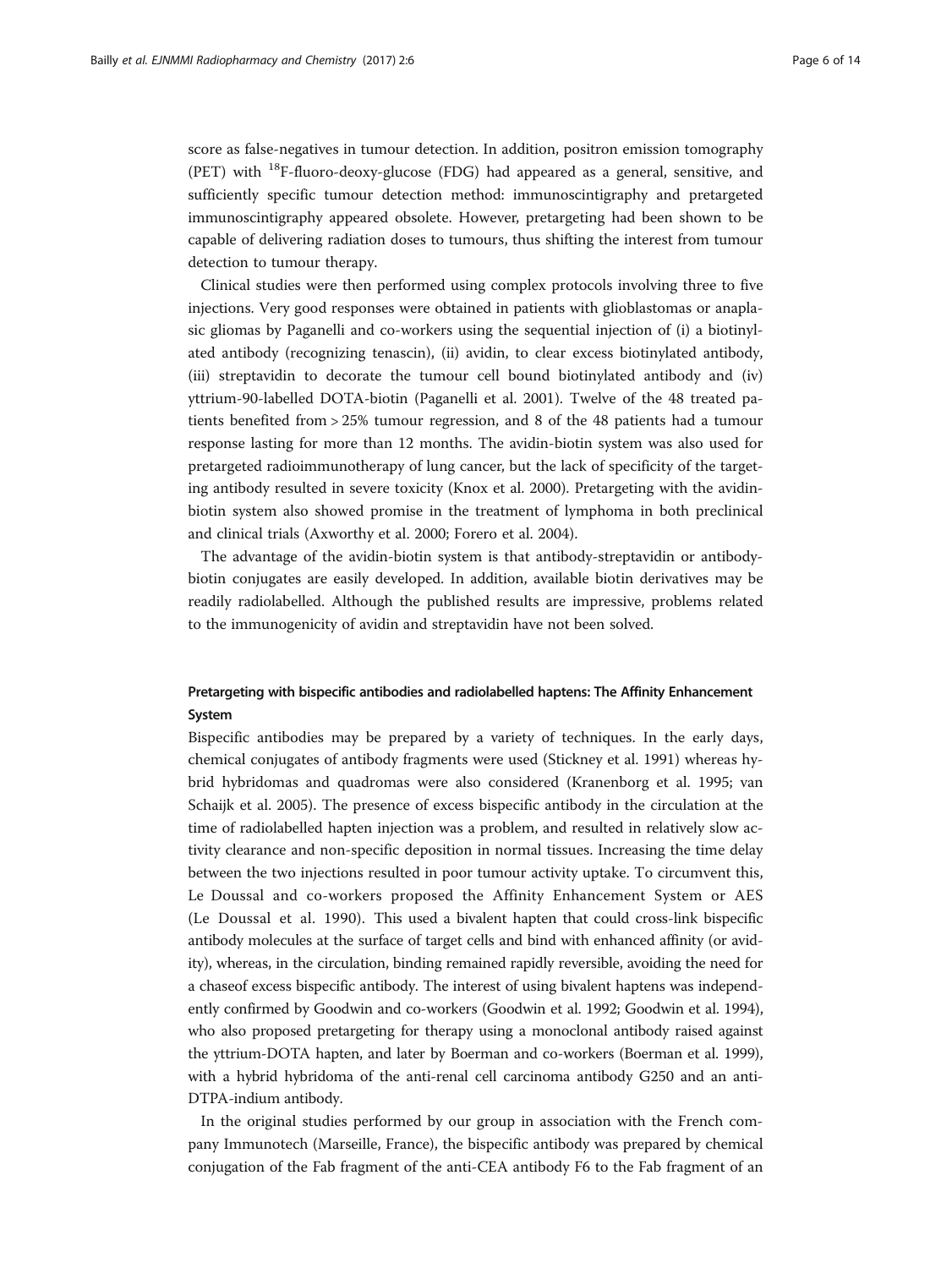score as false-negatives in tumour detection. In addition, positron emission tomography (PET) with  $^{18}$ F-fluoro-deoxy-glucose (FDG) had appeared as a general, sensitive, and sufficiently specific tumour detection method: immunoscintigraphy and pretargeted immunoscintigraphy appeared obsolete. However, pretargeting had been shown to be capable of delivering radiation doses to tumours, thus shifting the interest from tumour detection to tumour therapy.

Clinical studies were then performed using complex protocols involving three to five injections. Very good responses were obtained in patients with glioblastomas or anaplasic gliomas by Paganelli and co-workers using the sequential injection of (i) a biotinylated antibody (recognizing tenascin), (ii) avidin, to clear excess biotinylated antibody, (iii) streptavidin to decorate the tumour cell bound biotinylated antibody and (iv) yttrium-90-labelled DOTA-biotin (Paganelli et al. [2001](#page-12-0)). Twelve of the 48 treated patients benefited from > 25% tumour regression, and 8 of the 48 patients had a tumour response lasting for more than 12 months. The avidin-biotin system was also used for pretargeted radioimmunotherapy of lung cancer, but the lack of specificity of the targeting antibody resulted in severe toxicity (Knox et al. [2000](#page-11-0)). Pretargeting with the avidinbiotin system also showed promise in the treatment of lymphoma in both preclinical and clinical trials (Axworthy et al. [2000](#page-11-0); Forero et al. [2004](#page-11-0)).

The advantage of the avidin-biotin system is that antibody-streptavidin or antibodybiotin conjugates are easily developed. In addition, available biotin derivatives may be readily radiolabelled. Although the published results are impressive, problems related to the immunogenicity of avidin and streptavidin have not been solved.

## Pretargeting with bispecific antibodies and radiolabelled haptens: The Affinity Enhancement System

Bispecific antibodies may be prepared by a variety of techniques. In the early days, chemical conjugates of antibody fragments were used (Stickney et al. [1991](#page-12-0)) whereas hybrid hybridomas and quadromas were also considered (Kranenborg et al. [1995](#page-12-0); van Schaijk et al. [2005\)](#page-13-0). The presence of excess bispecific antibody in the circulation at the time of radiolabelled hapten injection was a problem, and resulted in relatively slow activity clearance and non-specific deposition in normal tissues. Increasing the time delay between the two injections resulted in poor tumour activity uptake. To circumvent this, Le Doussal and co-workers proposed the Affinity Enhancement System or AES (Le Doussal et al. [1990](#page-12-0)). This used a bivalent hapten that could cross-link bispecific antibody molecules at the surface of target cells and bind with enhanced affinity (or avidity), whereas, in the circulation, binding remained rapidly reversible, avoiding the need for a chaseof excess bispecific antibody. The interest of using bivalent haptens was independently confirmed by Goodwin and co-workers (Goodwin et al. [1992](#page-11-0); Goodwin et al. [1994](#page-11-0)), who also proposed pretargeting for therapy using a monoclonal antibody raised against the yttrium-DOTA hapten, and later by Boerman and co-workers (Boerman et al. [1999](#page-11-0)), with a hybrid hybridoma of the anti-renal cell carcinoma antibody G250 and an anti-DTPA-indium antibody.

In the original studies performed by our group in association with the French company Immunotech (Marseille, France), the bispecific antibody was prepared by chemical conjugation of the Fab fragment of the anti-CEA antibody F6 to the Fab fragment of an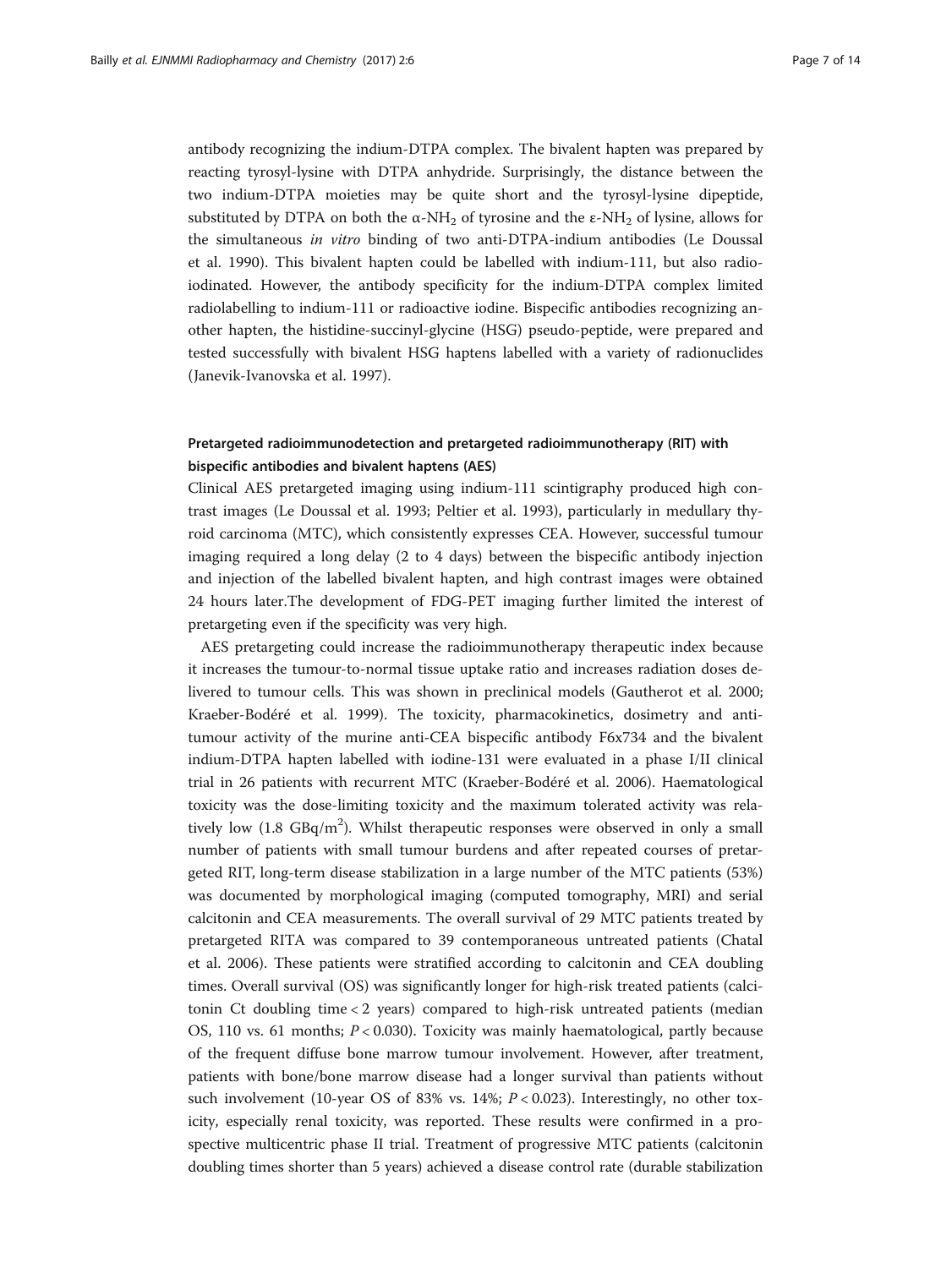antibody recognizing the indium-DTPA complex. The bivalent hapten was prepared by reacting tyrosyl-lysine with DTPA anhydride. Surprisingly, the distance between the two indium-DTPA moieties may be quite short and the tyrosyl-lysine dipeptide, substituted by DTPA on both the  $\alpha$ -NH<sub>2</sub> of tyrosine and the  $\epsilon$ -NH<sub>2</sub> of lysine, allows for the simultaneous in vitro binding of two anti-DTPA-indium antibodies (Le Doussal et al. [1990](#page-12-0)). This bivalent hapten could be labelled with indium-111, but also radioiodinated. However, the antibody specificity for the indium-DTPA complex limited radiolabelling to indium-111 or radioactive iodine. Bispecific antibodies recognizing another hapten, the histidine-succinyl-glycine (HSG) pseudo-peptide, were prepared and tested successfully with bivalent HSG haptens labelled with a variety of radionuclides (Janevik-Ivanovska et al. [1997](#page-11-0)).

## Pretargeted radioimmunodetection and pretargeted radioimmunotherapy (RIT) with bispecific antibodies and bivalent haptens (AES)

Clinical AES pretargeted imaging using indium-111 scintigraphy produced high contrast images (Le Doussal et al. [1993](#page-12-0); Peltier et al. [1993](#page-12-0)), particularly in medullary thyroid carcinoma (MTC), which consistently expresses CEA. However, successful tumour imaging required a long delay (2 to 4 days) between the bispecific antibody injection and injection of the labelled bivalent hapten, and high contrast images were obtained 24 hours later.The development of FDG-PET imaging further limited the interest of pretargeting even if the specificity was very high.

AES pretargeting could increase the radioimmunotherapy therapeutic index because it increases the tumour-to-normal tissue uptake ratio and increases radiation doses delivered to tumour cells. This was shown in preclinical models (Gautherot et al. [2000](#page-11-0); Kraeber-Bodéré et al. [1999](#page-12-0)). The toxicity, pharmacokinetics, dosimetry and antitumour activity of the murine anti-CEA bispecific antibody F6x734 and the bivalent indium-DTPA hapten labelled with iodine-131 were evaluated in a phase I/II clinical trial in 26 patients with recurrent MTC (Kraeber-Bodéré et al. [2006\)](#page-12-0). Haematological toxicity was the dose-limiting toxicity and the maximum tolerated activity was relatively low  $(1.8 \text{ GBq/m}^2)$ . Whilst therapeutic responses were observed in only a small number of patients with small tumour burdens and after repeated courses of pretargeted RIT, long-term disease stabilization in a large number of the MTC patients (53%) was documented by morphological imaging (computed tomography, MRI) and serial calcitonin and CEA measurements. The overall survival of 29 MTC patients treated by pretargeted RITA was compared to 39 contemporaneous untreated patients (Chatal et al. [2006\)](#page-11-0). These patients were stratified according to calcitonin and CEA doubling times. Overall survival (OS) was significantly longer for high-risk treated patients (calcitonin Ct doubling time < 2 years) compared to high-risk untreated patients (median OS, 110 vs. 61 months;  $P < 0.030$ ). Toxicity was mainly haematological, partly because of the frequent diffuse bone marrow tumour involvement. However, after treatment, patients with bone/bone marrow disease had a longer survival than patients without such involvement (10-year OS of 83% vs. 14%;  $P < 0.023$ ). Interestingly, no other toxicity, especially renal toxicity, was reported. These results were confirmed in a prospective multicentric phase II trial. Treatment of progressive MTC patients (calcitonin doubling times shorter than 5 years) achieved a disease control rate (durable stabilization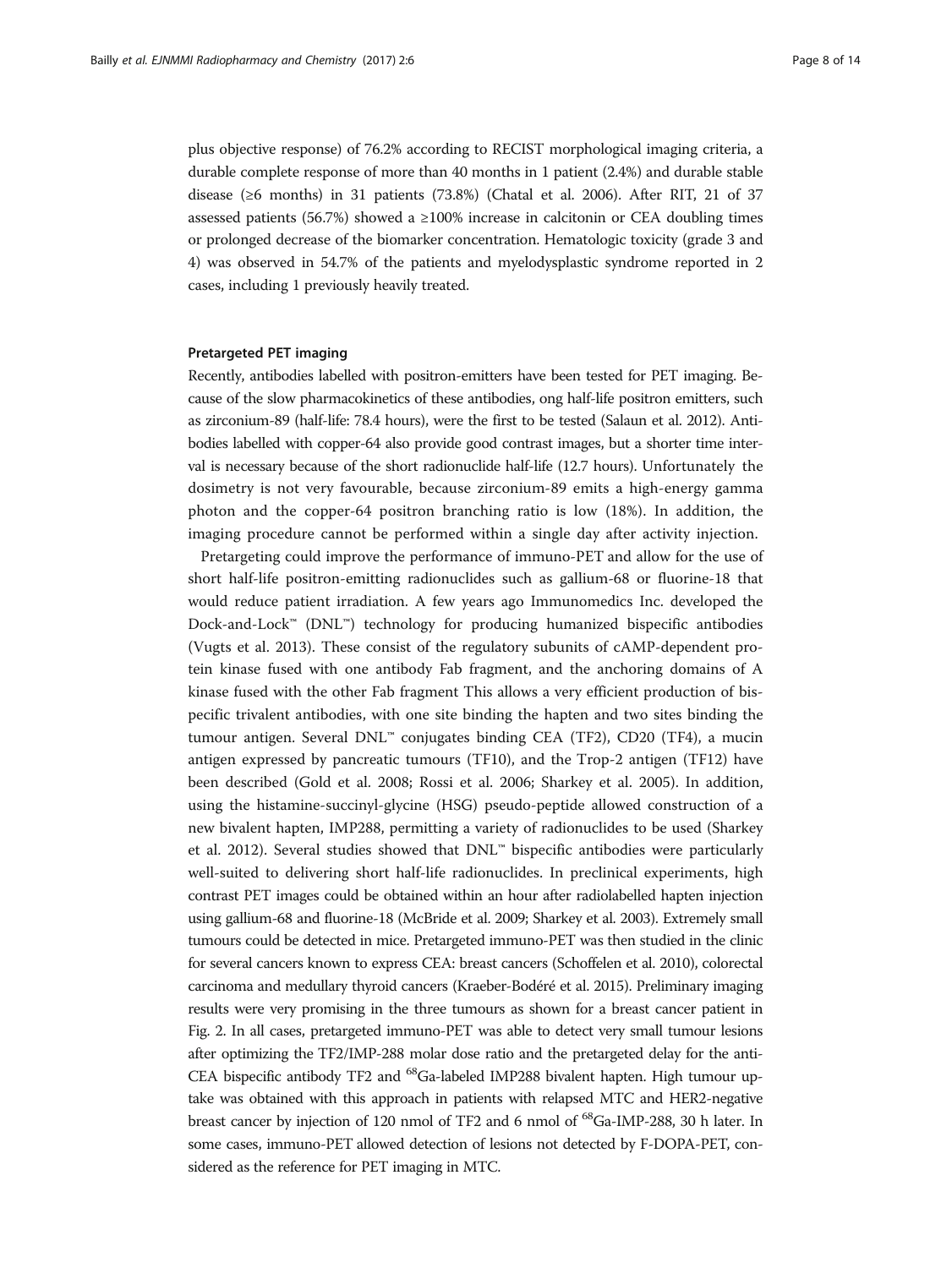plus objective response) of 76.2% according to RECIST morphological imaging criteria, a durable complete response of more than 40 months in 1 patient (2.4%) and durable stable disease (≥6 months) in 31 patients (73.8%) (Chatal et al. [2006\)](#page-11-0). After RIT, 21 of 37 assessed patients (56.7%) showed a  $\geq 100\%$  increase in calcitonin or CEA doubling times or prolonged decrease of the biomarker concentration. Hematologic toxicity (grade 3 and 4) was observed in 54.7% of the patients and myelodysplastic syndrome reported in 2 cases, including 1 previously heavily treated.

## Pretargeted PET imaging

Recently, antibodies labelled with positron-emitters have been tested for PET imaging. Because of the slow pharmacokinetics of these antibodies, ong half-life positron emitters, such as zirconium-89 (half-life: 78.4 hours), were the first to be tested (Salaun et al. [2012\)](#page-12-0). Antibodies labelled with copper-64 also provide good contrast images, but a shorter time interval is necessary because of the short radionuclide half-life (12.7 hours). Unfortunately the dosimetry is not very favourable, because zirconium-89 emits a high-energy gamma photon and the copper-64 positron branching ratio is low (18%). In addition, the imaging procedure cannot be performed within a single day after activity injection.

Pretargeting could improve the performance of immuno-PET and allow for the use of short half-life positron-emitting radionuclides such as gallium-68 or fluorine-18 that would reduce patient irradiation. A few years ago Immunomedics Inc. developed the Dock-and-Lock™ (DNL™) technology for producing humanized bispecific antibodies (Vugts et al. [2013](#page-13-0)). These consist of the regulatory subunits of cAMP-dependent protein kinase fused with one antibody Fab fragment, and the anchoring domains of A kinase fused with the other Fab fragment This allows a very efficient production of bispecific trivalent antibodies, with one site binding the hapten and two sites binding the tumour antigen. Several DNL™ conjugates binding CEA (TF2), CD20 (TF4), a mucin antigen expressed by pancreatic tumours (TF10), and the Trop-2 antigen (TF12) have been described (Gold et al. [2008](#page-11-0); Rossi et al. [2006](#page-12-0); Sharkey et al. [2005\)](#page-12-0). In addition, using the histamine-succinyl-glycine (HSG) pseudo-peptide allowed construction of a new bivalent hapten, IMP288, permitting a variety of radionuclides to be used (Sharkey et al. [2012\)](#page-12-0). Several studies showed that DNL™ bispecific antibodies were particularly well-suited to delivering short half-life radionuclides. In preclinical experiments, high contrast PET images could be obtained within an hour after radiolabelled hapten injection using gallium-68 and fluorine-18 (McBride et al. [2009;](#page-12-0) Sharkey et al. [2003](#page-12-0)). Extremely small tumours could be detected in mice. Pretargeted immuno-PET was then studied in the clinic for several cancers known to express CEA: breast cancers (Schoffelen et al. [2010\)](#page-12-0), colorectal carcinoma and medullary thyroid cancers (Kraeber-Bodéré et al. [2015\)](#page-12-0). Preliminary imaging results were very promising in the three tumours as shown for a breast cancer patient in Fig. [2](#page-8-0). In all cases, pretargeted immuno-PET was able to detect very small tumour lesions after optimizing the TF2/IMP-288 molar dose ratio and the pretargeted delay for the anti-CEA bispecific antibody TF2 and <sup>68</sup>Ga-labeled IMP288 bivalent hapten. High tumour uptake was obtained with this approach in patients with relapsed MTC and HER2-negative breast cancer by injection of 120 nmol of TF2 and 6 nmol of <sup>68</sup>Ga-IMP-288, 30 h later. In some cases, immuno-PET allowed detection of lesions not detected by F-DOPA-PET, considered as the reference for PET imaging in MTC.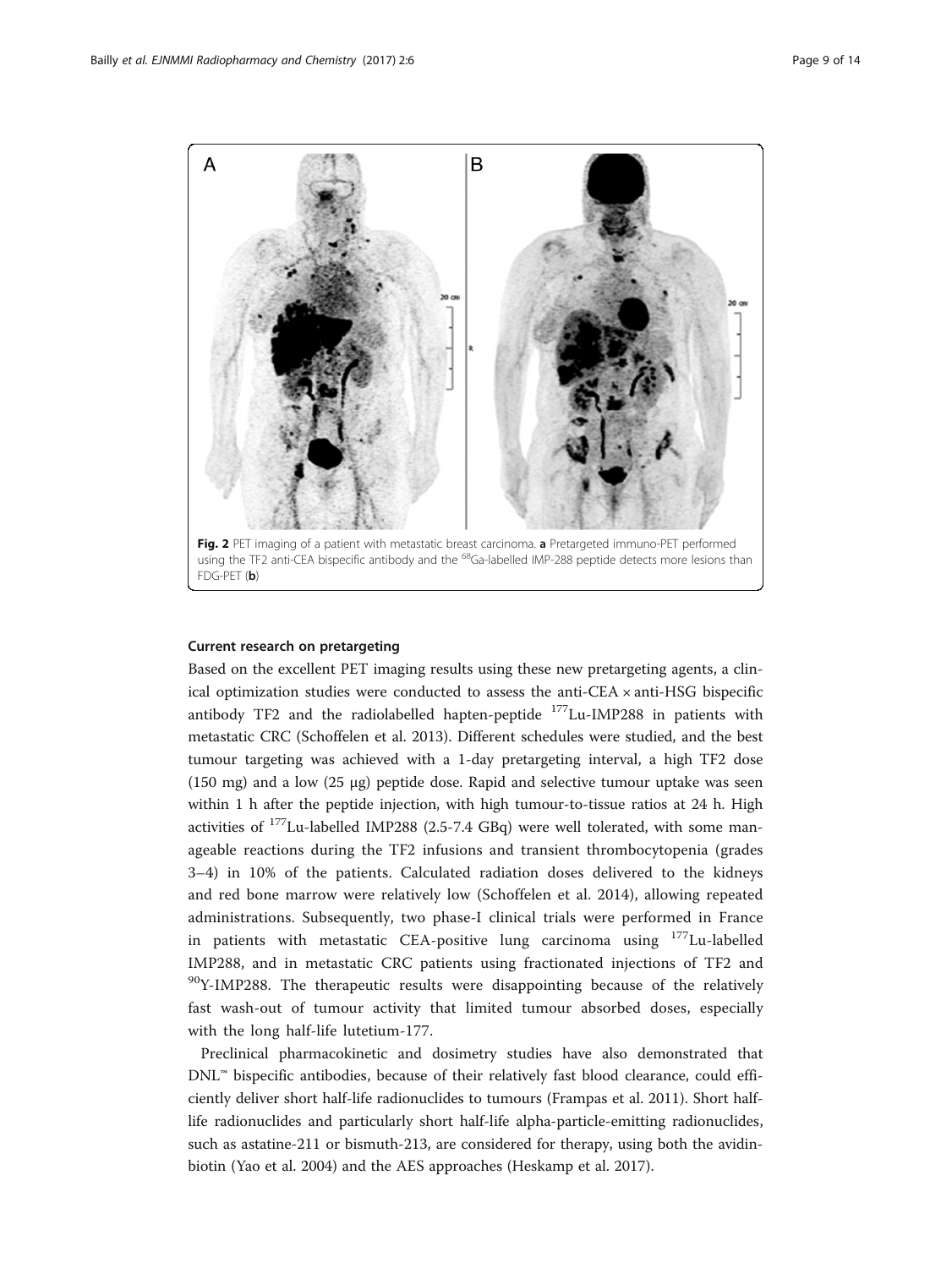<span id="page-8-0"></span>

## Current research on pretargeting

Based on the excellent PET imaging results using these new pretargeting agents, a clinical optimization studies were conducted to assess the anti-CEA × anti-HSG bispecific antibody TF2 and the radiolabelled hapten-peptide 177Lu-IMP288 in patients with metastatic CRC (Schoffelen et al. [2013](#page-12-0)). Different schedules were studied, and the best tumour targeting was achieved with a 1-day pretargeting interval, a high TF2 dose (150 mg) and a low (25 μg) peptide dose. Rapid and selective tumour uptake was seen within 1 h after the peptide injection, with high tumour-to-tissue ratios at 24 h. High activities of 177Lu-labelled IMP288 (2.5-7.4 GBq) were well tolerated, with some manageable reactions during the TF2 infusions and transient thrombocytopenia (grades 3–4) in 10% of the patients. Calculated radiation doses delivered to the kidneys and red bone marrow were relatively low (Schoffelen et al. [2014\)](#page-12-0), allowing repeated administrations. Subsequently, two phase-I clinical trials were performed in France in patients with metastatic CEA-positive lung carcinoma using  $177$ Lu-labelled IMP288, and in metastatic CRC patients using fractionated injections of TF2 and  $90Y$ -IMP288. The therapeutic results were disappointing because of the relatively fast wash-out of tumour activity that limited tumour absorbed doses, especially with the long half-life lutetium-177.

Preclinical pharmacokinetic and dosimetry studies have also demonstrated that DNL™ bispecific antibodies, because of their relatively fast blood clearance, could efficiently deliver short half-life radionuclides to tumours (Frampas et al. [2011](#page-11-0)). Short halflife radionuclides and particularly short half-life alpha-particle-emitting radionuclides, such as astatine-211 or bismuth-213, are considered for therapy, using both the avidinbiotin (Yao et al. [2004](#page-13-0)) and the AES approaches (Heskamp et al. [2017](#page-11-0)).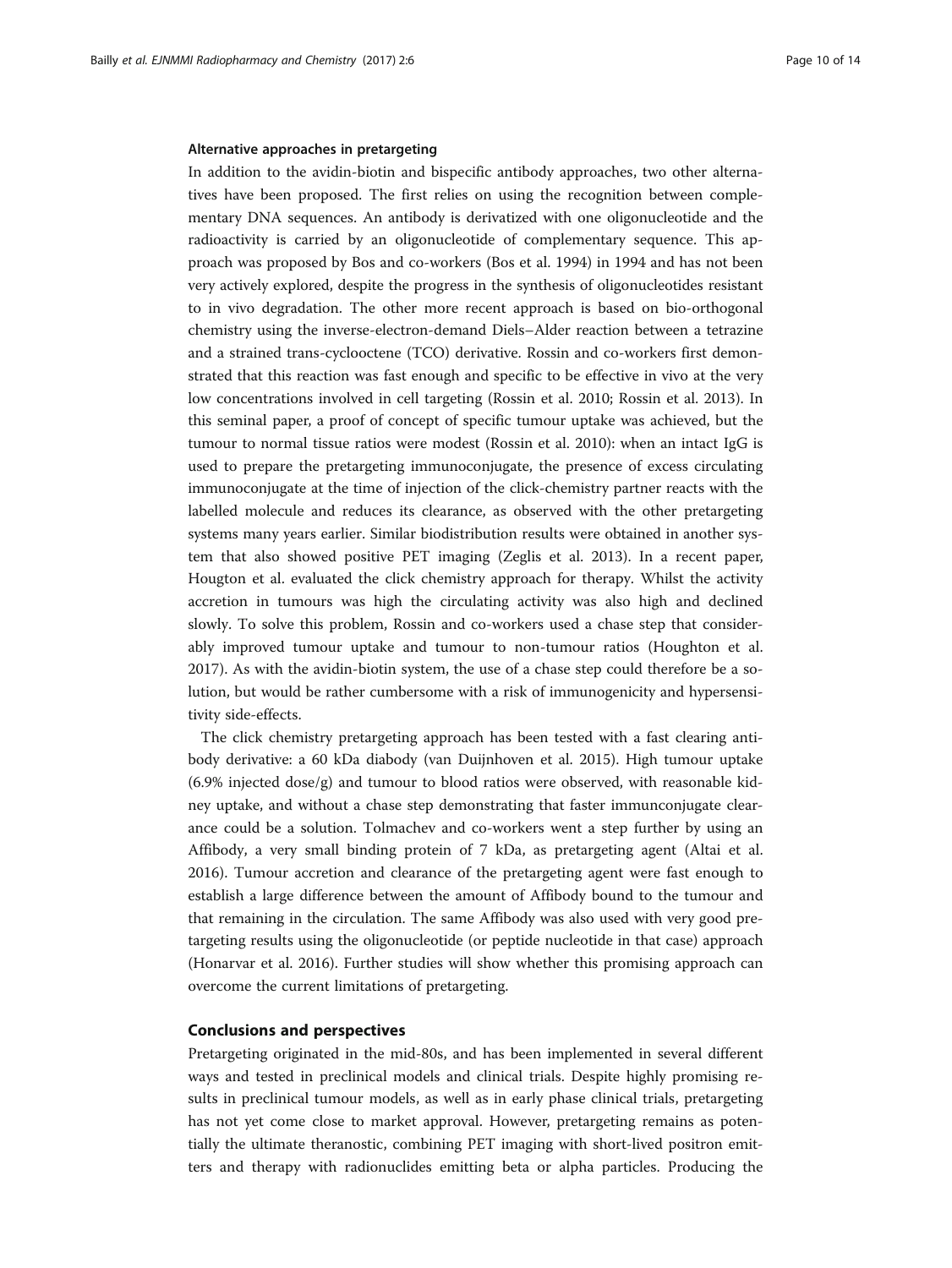### Alternative approaches in pretargeting

In addition to the avidin-biotin and bispecific antibody approaches, two other alternatives have been proposed. The first relies on using the recognition between complementary DNA sequences. An antibody is derivatized with one oligonucleotide and the radioactivity is carried by an oligonucleotide of complementary sequence. This approach was proposed by Bos and co-workers (Bos et al. [1994](#page-11-0)) in 1994 and has not been very actively explored, despite the progress in the synthesis of oligonucleotides resistant to in vivo degradation. The other more recent approach is based on bio-orthogonal chemistry using the inverse-electron-demand Diels–Alder reaction between a tetrazine and a strained trans-cyclooctene (TCO) derivative. Rossin and co-workers first demonstrated that this reaction was fast enough and specific to be effective in vivo at the very low concentrations involved in cell targeting (Rossin et al. [2010;](#page-12-0) Rossin et al. [2013](#page-12-0)). In this seminal paper, a proof of concept of specific tumour uptake was achieved, but the tumour to normal tissue ratios were modest (Rossin et al. [2010\)](#page-12-0): when an intact IgG is used to prepare the pretargeting immunoconjugate, the presence of excess circulating immunoconjugate at the time of injection of the click-chemistry partner reacts with the labelled molecule and reduces its clearance, as observed with the other pretargeting systems many years earlier. Similar biodistribution results were obtained in another system that also showed positive PET imaging (Zeglis et al. [2013\)](#page-13-0). In a recent paper, Hougton et al. evaluated the click chemistry approach for therapy. Whilst the activity accretion in tumours was high the circulating activity was also high and declined slowly. To solve this problem, Rossin and co-workers used a chase step that considerably improved tumour uptake and tumour to non-tumour ratios (Houghton et al. [2017](#page-11-0)). As with the avidin-biotin system, the use of a chase step could therefore be a solution, but would be rather cumbersome with a risk of immunogenicity and hypersensitivity side-effects.

The click chemistry pretargeting approach has been tested with a fast clearing antibody derivative: a 60 kDa diabody (van Duijnhoven et al. [2015](#page-12-0)). High tumour uptake (6.9% injected dose/g) and tumour to blood ratios were observed, with reasonable kidney uptake, and without a chase step demonstrating that faster immunconjugate clearance could be a solution. Tolmachev and co-workers went a step further by using an Affibody, a very small binding protein of 7 kDa, as pretargeting agent (Altai et al. [2016](#page-11-0)). Tumour accretion and clearance of the pretargeting agent were fast enough to establish a large difference between the amount of Affibody bound to the tumour and that remaining in the circulation. The same Affibody was also used with very good pretargeting results using the oligonucleotide (or peptide nucleotide in that case) approach (Honarvar et al. [2016](#page-11-0)). Further studies will show whether this promising approach can overcome the current limitations of pretargeting.

#### Conclusions and perspectives

Pretargeting originated in the mid-80s, and has been implemented in several different ways and tested in preclinical models and clinical trials. Despite highly promising results in preclinical tumour models, as well as in early phase clinical trials, pretargeting has not yet come close to market approval. However, pretargeting remains as potentially the ultimate theranostic, combining PET imaging with short-lived positron emitters and therapy with radionuclides emitting beta or alpha particles. Producing the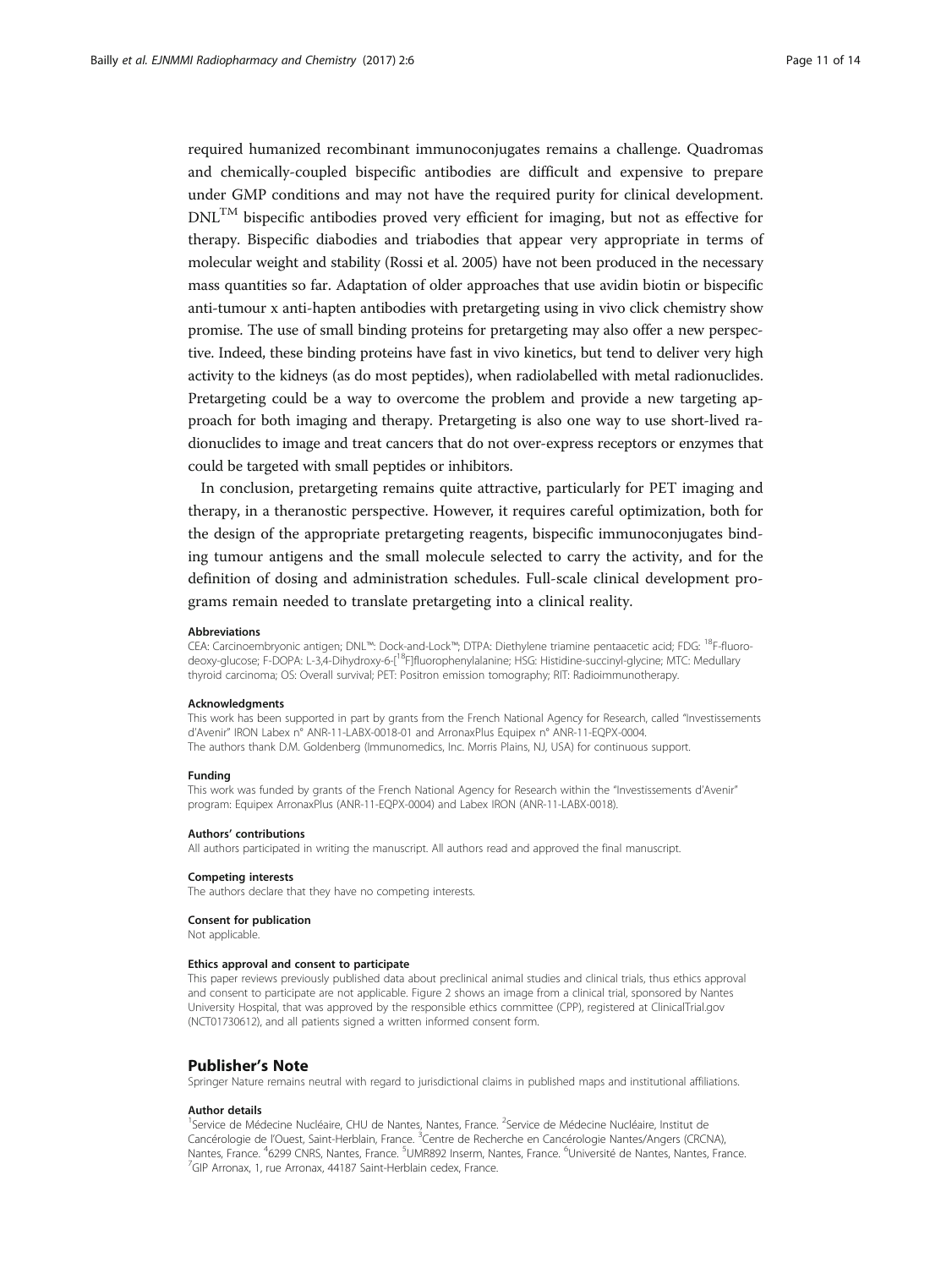required humanized recombinant immunoconjugates remains a challenge. Quadromas and chemically-coupled bispecific antibodies are difficult and expensive to prepare under GMP conditions and may not have the required purity for clinical development. DNLTM bispecific antibodies proved very efficient for imaging, but not as effective for therapy. Bispecific diabodies and triabodies that appear very appropriate in terms of molecular weight and stability (Rossi et al. [2005](#page-12-0)) have not been produced in the necessary mass quantities so far. Adaptation of older approaches that use avidin biotin or bispecific anti-tumour x anti-hapten antibodies with pretargeting using in vivo click chemistry show promise. The use of small binding proteins for pretargeting may also offer a new perspective. Indeed, these binding proteins have fast in vivo kinetics, but tend to deliver very high activity to the kidneys (as do most peptides), when radiolabelled with metal radionuclides. Pretargeting could be a way to overcome the problem and provide a new targeting approach for both imaging and therapy. Pretargeting is also one way to use short-lived radionuclides to image and treat cancers that do not over-express receptors or enzymes that could be targeted with small peptides or inhibitors.

In conclusion, pretargeting remains quite attractive, particularly for PET imaging and therapy, in a theranostic perspective. However, it requires careful optimization, both for the design of the appropriate pretargeting reagents, bispecific immunoconjugates binding tumour antigens and the small molecule selected to carry the activity, and for the definition of dosing and administration schedules. Full-scale clinical development programs remain needed to translate pretargeting into a clinical reality.

#### Abbreviations

CEA: Carcinoembryonic antigen; DNL™: Dock-and-Lock™; DTPA: Diethylene triamine pentaacetic acid; FDG: 18F-fluorodeoxy-glucose; F-DOPA: L-3,4-Dihydroxy-6-[<sup>18</sup>F]fluorophenylalanine; HSG: Histidine-succinyl-glycine; MTC: Medullary thyroid carcinoma; OS: Overall survival; PET: Positron emission tomography; RIT: Radioimmunotherapy.

#### Acknowledgments

This work has been supported in part by grants from the French National Agency for Research, called "Investissements d'Avenir" IRON Labex n° ANR-11-LABX-0018-01 and ArronaxPlus Equipex n° ANR-11-EQPX-0004. The authors thank D.M. Goldenberg (Immunomedics, Inc. Morris Plains, NJ, USA) for continuous support.

#### Funding

This work was funded by grants of the French National Agency for Research within the "Investissements d'Avenir" program: Equipex ArronaxPlus (ANR-11-EQPX-0004) and Labex IRON (ANR-11-LABX-0018).

#### Authors' contributions

All authors participated in writing the manuscript. All authors read and approved the final manuscript.

#### Competing interests

The authors declare that they have no competing interests.

#### Consent for publication

Not applicable.

#### Ethics approval and consent to participate

This paper reviews previously published data about preclinical animal studies and clinical trials, thus ethics approval and consent to participate are not applicable. Figure [2](#page-8-0) shows an image from a clinical trial, sponsored by Nantes University Hospital, that was approved by the responsible ethics committee (CPP), registered at ClinicalTrial.gov (NCT01730612), and all patients signed a written informed consent form.

## Publisher's Note

Springer Nature remains neutral with regard to jurisdictional claims in published maps and institutional affiliations.

#### Author details

<sup>1</sup>Service de Médecine Nucléaire, CHU de Nantes, Nantes, France. <sup>2</sup>Service de Médecine Nucléaire, Institut de Cancérologie de l'Ouest, Saint-Herblain, France. <sup>3</sup>Centre de Recherche en Cancérologie Nantes/Angers (CRCNA<u>)</u>, Nantes, France. <sup>4</sup>6299 CNRS, Nantes, France. <sup>5</sup>UMR892 Inserm, Nantes, France. <sup>6</sup>Université de Nantes, Nantes, France.<br><sup>7</sup>GIP Arropax 1 rue Arropax 44197 Saint Herblain codex. Erance. <sup>7</sup>GIP Arronax, 1, rue Arronax, 44187 Saint-Herblain cedex, France.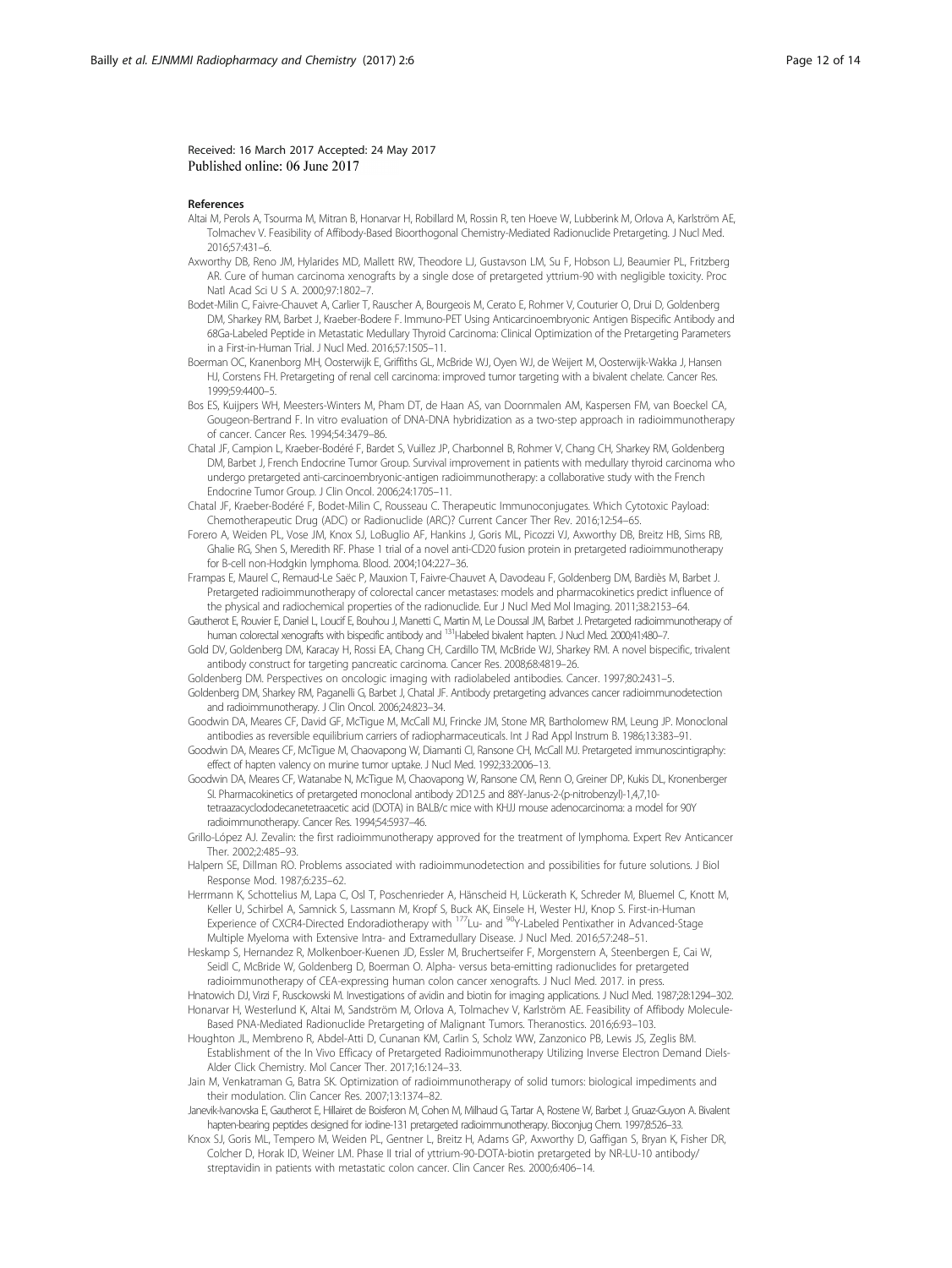<span id="page-11-0"></span>Received: 16 March 2017 Accepted: 24 May 2017 Published online: 06 June 2017

#### References

- Altai M, Perols A, Tsourma M, Mitran B, Honarvar H, Robillard M, Rossin R, ten Hoeve W, Lubberink M, Orlova A, Karlström AE, Tolmachev V. Feasibility of Affibody-Based Bioorthogonal Chemistry-Mediated Radionuclide Pretargeting. J Nucl Med. 2016;57:431–6.
- Axworthy DB, Reno JM, Hylarides MD, Mallett RW, Theodore LJ, Gustavson LM, Su F, Hobson LJ, Beaumier PL, Fritzberg AR. Cure of human carcinoma xenografts by a single dose of pretargeted yttrium-90 with negligible toxicity. Proc Natl Acad Sci U S A. 2000;97:1802–7.
- Bodet-Milin C, Faivre-Chauvet A, Carlier T, Rauscher A, Bourgeois M, Cerato E, Rohmer V, Couturier O, Drui D, Goldenberg DM, Sharkey RM, Barbet J, Kraeber-Bodere F. Immuno-PET Using Anticarcinoembryonic Antigen Bispecific Antibody and 68Ga-Labeled Peptide in Metastatic Medullary Thyroid Carcinoma: Clinical Optimization of the Pretargeting Parameters in a First-in-Human Trial. J Nucl Med. 2016;57:1505–11.
- Boerman OC, Kranenborg MH, Oosterwijk E, Griffiths GL, McBride WJ, Oyen WJ, de Weijert M, Oosterwijk-Wakka J, Hansen HJ, Corstens FH. Pretargeting of renal cell carcinoma: improved tumor targeting with a bivalent chelate. Cancer Res. 1999;59:4400–5.
- Bos ES, Kuijpers WH, Meesters-Winters M, Pham DT, de Haan AS, van Doornmalen AM, Kaspersen FM, van Boeckel CA, Gougeon-Bertrand F. In vitro evaluation of DNA-DNA hybridization as a two-step approach in radioimmunotherapy of cancer. Cancer Res. 1994;54:3479–86.
- Chatal JF, Campion L, Kraeber-Bodéré F, Bardet S, Vuillez JP, Charbonnel B, Rohmer V, Chang CH, Sharkey RM, Goldenberg DM, Barbet J, French Endocrine Tumor Group. Survival improvement in patients with medullary thyroid carcinoma who undergo pretargeted anti-carcinoembryonic-antigen radioimmunotherapy: a collaborative study with the French Endocrine Tumor Group. J Clin Oncol. 2006;24:1705–11.
- Chatal JF, Kraeber-Bodéré F, Bodet-Milin C, Rousseau C. Therapeutic Immunoconjugates. Which Cytotoxic Payload: Chemotherapeutic Drug (ADC) or Radionuclide (ARC)? Current Cancer Ther Rev. 2016;12:54–65.
- Forero A, Weiden PL, Vose JM, Knox SJ, LoBuglio AF, Hankins J, Goris ML, Picozzi VJ, Axworthy DB, Breitz HB, Sims RB, Ghalie RG, Shen S, Meredith RF. Phase 1 trial of a novel anti-CD20 fusion protein in pretargeted radioimmunotherapy for B-cell non-Hodgkin lymphoma. Blood. 2004;104:227–36.
- Frampas E, Maurel C, Remaud-Le Saëc P, Mauxion T, Faivre-Chauvet A, Davodeau F, Goldenberg DM, Bardiès M, Barbet J. Pretargeted radioimmunotherapy of colorectal cancer metastases: models and pharmacokinetics predict influence of the physical and radiochemical properties of the radionuclide. Eur J Nucl Med Mol Imaging. 2011;38:2153–64.
- Gautherot E, Rouvier E, Daniel L, Loucif E, Bouhou J, Manetti C, Martin M, Le Doussal JM, Barbet J. Pretargeted radioimmunotherapy of human colorectal xenografts with bispecific antibody and <sup>131</sup>Habeled bivalent hapten. J Nucl Med. 2000;41:480-7.
- Gold DV, Goldenberg DM, Karacay H, Rossi EA, Chang CH, Cardillo TM, McBride WJ, Sharkey RM. A novel bispecific, trivalent antibody construct for targeting pancreatic carcinoma. Cancer Res. 2008;68:4819–26.
- Goldenberg DM. Perspectives on oncologic imaging with radiolabeled antibodies. Cancer. 1997;80:2431–5.
- Goldenberg DM, Sharkey RM, Paganelli G, Barbet J, Chatal JF. Antibody pretargeting advances cancer radioimmunodetection and radioimmunotherapy. J Clin Oncol. 2006;24:823–34.
- Goodwin DA, Meares CF, David GF, McTigue M, McCall MJ, Frincke JM, Stone MR, Bartholomew RM, Leung JP. Monoclonal antibodies as reversible equilibrium carriers of radiopharmaceuticals. Int J Rad Appl Instrum B. 1986;13:383–91.
- Goodwin DA, Meares CF, McTigue M, Chaovapong W, Diamanti CI, Ransone CH, McCall MJ. Pretargeted immunoscintigraphy: effect of hapten valency on murine tumor uptake. J Nucl Med. 1992;33:2006–13.
- Goodwin DA, Meares CF, Watanabe N, McTigue M, Chaovapong W, Ransone CM, Renn O, Greiner DP, Kukis DL, Kronenberger SI. Pharmacokinetics of pretargeted monoclonal antibody 2D12.5 and 88Y-Janus-2-(p-nitrobenzyl)-1,4,7,10tetraazacyclododecanetetraacetic acid (DOTA) in BALB/c mice with KHJJ mouse adenocarcinoma: a model for 90Y radioimmunotherapy. Cancer Res. 1994;54:5937–46.
- Grillo-López AJ. Zevalin: the first radioimmunotherapy approved for the treatment of lymphoma. Expert Rev Anticancer Ther. 2002;2:485–93.
- Halpern SE, Dillman RO. Problems associated with radioimmunodetection and possibilities for future solutions. J Biol Response Mod. 1987;6:235–62.
- Herrmann K, Schottelius M, Lapa C, Osl T, Poschenrieder A, Hänscheid H, Lückerath K, Schreder M, Bluemel C, Knott M, Keller U, Schirbel A, Samnick S, Lassmann M, Kropf S, Buck AK, Einsele H, Wester HJ, Knop S. First-in-Human Experience of CXCR4-Directed Endoradiotherapy with <sup>177</sup>Lu- and <sup>90</sup>Y-Labeled Pentixather in Advanced-Stage Multiple Myeloma with Extensive Intra- and Extramedullary Disease. J Nucl Med. 2016;57:248–51.

Heskamp S, Hernandez R, Molkenboer-Kuenen JD, Essler M, Bruchertseifer F, Morgenstern A, Steenbergen E, Cai W, Seidl C, McBride W, Goldenberg D, Boerman O. Alpha- versus beta-emitting radionuclides for pretargeted radioimmunotherapy of CEA-expressing human colon cancer xenografts. J Nucl Med. 2017. in press.

- Hnatowich DJ, Virzi F, Rusckowski M. Investigations of avidin and biotin for imaging applications. J Nucl Med. 1987;28:1294–302. Honarvar H, Westerlund K, Altai M, Sandström M, Orlova A, Tolmachev V, Karlström AE. Feasibility of Affibody Molecule-Based PNA-Mediated Radionuclide Pretargeting of Malignant Tumors. Theranostics. 2016;6:93–103.
- Houghton JL, Membreno R, Abdel-Atti D, Cunanan KM, Carlin S, Scholz WW, Zanzonico PB, Lewis JS, Zeglis BM. Establishment of the In Vivo Efficacy of Pretargeted Radioimmunotherapy Utilizing Inverse Electron Demand Diels-Alder Click Chemistry. Mol Cancer Ther. 2017;16:124–33.
- Jain M, Venkatraman G, Batra SK. Optimization of radioimmunotherapy of solid tumors: biological impediments and their modulation. Clin Cancer Res. 2007;13:1374–82.
- Janevik-Ivanovska E, Gautherot E, Hillairet de Boisferon M, Cohen M, Milhaud G, Tartar A, Rostene W, Barbet J, Gruaz-Guyon A. Bivalent hapten-bearing peptides designed for iodine-131 pretargeted radioimmunotherapy. Bioconjug Chem. 1997;8526-33.
- Knox SJ, Goris ML, Tempero M, Weiden PL, Gentner L, Breitz H, Adams GP, Axworthy D, Gaffigan S, Bryan K, Fisher DR, Colcher D, Horak ID, Weiner LM. Phase II trial of yttrium-90-DOTA-biotin pretargeted by NR-LU-10 antibody/ streptavidin in patients with metastatic colon cancer. Clin Cancer Res. 2000;6:406–14.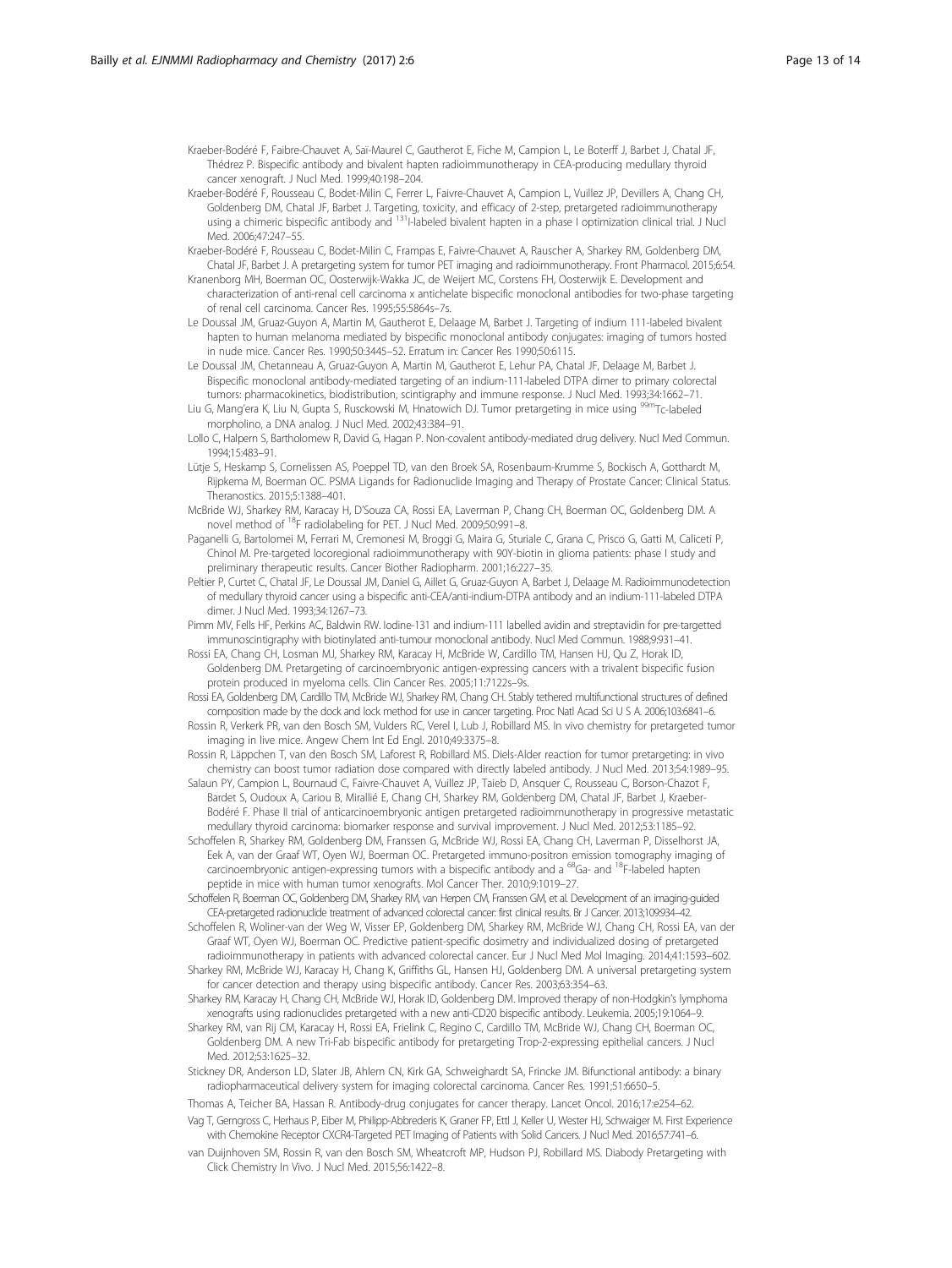<span id="page-12-0"></span>Kraeber-Bodéré F, Faibre-Chauvet A, Saï-Maurel C, Gautherot E, Fiche M, Campion L, Le Boterff J, Barbet J, Chatal JF, Thédrez P. Bispecific antibody and bivalent hapten radioimmunotherapy in CEA-producing medullary thyroid cancer xenograft. J Nucl Med. 1999;40:198–204.

- Kraeber-Bodéré F, Rousseau C, Bodet-Milin C, Ferrer L, Faivre-Chauvet A, Campion L, Vuillez JP, Devillers A, Chang CH, Goldenberg DM, Chatal JF, Barbet J. Targeting, toxicity, and efficacy of 2-step, pretargeted radioimmunotherapy using a chimeric bispecific antibody and <sup>131</sup>I-labeled bivalent hapten in a phase I optimization clinical trial. J Nucl Med. 2006;47:247–55.
- Kraeber-Bodéré F, Rousseau C, Bodet-Milin C, Frampas E, Faivre-Chauvet A, Rauscher A, Sharkey RM, Goldenberg DM, Chatal JF, Barbet J. A pretargeting system for tumor PET imaging and radioimmunotherapy. Front Pharmacol. 2015;6:54.
- Kranenborg MH, Boerman OC, Oosterwijk-Wakka JC, de Weijert MC, Corstens FH, Oosterwijk E. Development and characterization of anti-renal cell carcinoma x antichelate bispecific monoclonal antibodies for two-phase targeting of renal cell carcinoma. Cancer Res. 1995;55:5864s–7s.
- Le Doussal JM, Gruaz-Guyon A, Martin M, Gautherot E, Delaage M, Barbet J. Targeting of indium 111-labeled bivalent hapten to human melanoma mediated by bispecific monoclonal antibody conjugates: imaging of tumors hosted in nude mice. Cancer Res. 1990;50:3445–52. Erratum in: Cancer Res 1990;50:6115.
- Le Doussal JM, Chetanneau A, Gruaz-Guyon A, Martin M, Gautherot E, Lehur PA, Chatal JF, Delaage M, Barbet J. Bispecific monoclonal antibody-mediated targeting of an indium-111-labeled DTPA dimer to primary colorectal tumors: pharmacokinetics, biodistribution, scintigraphy and immune response. J Nucl Med. 1993;34:1662–71.
- Liu G, Mang'era K, Liu N, Gupta S, Rusckowski M, Hnatowich DJ. Tumor pretargeting in mice using <sup>99m</sup>Tc-labeled morpholino, a DNA analog. J Nucl Med. 2002;43:384–91.
- Lollo C, Halpern S, Bartholomew R, David G, Hagan P. Non-covalent antibody-mediated drug delivery. Nucl Med Commun. 1994;15:483–91.
- Lütje S, Heskamp S, Cornelissen AS, Poeppel TD, van den Broek SA, Rosenbaum-Krumme S, Bockisch A, Gotthardt M, Rijpkema M, Boerman OC. PSMA Ligands for Radionuclide Imaging and Therapy of Prostate Cancer: Clinical Status. Theranostics. 2015;5:1388–401.
- McBride WJ, Sharkey RM, Karacay H, D'Souza CA, Rossi EA, Laverman P, Chang CH, Boerman OC, Goldenberg DM. A novel method of 18F radiolabeling for PET. J Nucl Med. 2009;50:991–8.
- Paganelli G, Bartolomei M, Ferrari M, Cremonesi M, Broggi G, Maira G, Sturiale C, Grana C, Prisco G, Gatti M, Caliceti P, Chinol M. Pre-targeted locoregional radioimmunotherapy with 90Y-biotin in glioma patients: phase I study and preliminary therapeutic results. Cancer Biother Radiopharm. 2001;16:227–35.
- Peltier P, Curtet C, Chatal JF, Le Doussal JM, Daniel G, Aillet G, Gruaz-Guyon A, Barbet J, Delaage M. Radioimmunodetection of medullary thyroid cancer using a bispecific anti-CEA/anti-indium-DTPA antibody and an indium-111-labeled DTPA dimer. J Nucl Med. 1993;34:1267–73.
- Pimm MV, Fells HF, Perkins AC, Baldwin RW. Iodine-131 and indium-111 labelled avidin and streptavidin for pre-targetted immunoscintigraphy with biotinylated anti-tumour monoclonal antibody. Nucl Med Commun. 1988;9:931–41.
- Rossi EA, Chang CH, Losman MJ, Sharkey RM, Karacay H, McBride W, Cardillo TM, Hansen HJ, Qu Z, Horak ID, Goldenberg DM. Pretargeting of carcinoembryonic antigen-expressing cancers with a trivalent bispecific fusion protein produced in myeloma cells. Clin Cancer Res. 2005;11:7122s–9s.
- Rossi EA, Goldenberg DM, Cardillo TM, McBride WJ, Sharkey RM, Chang CH. Stably tethered multifunctional structures of defined composition made by the dock and lock method for use in cancer targeting. Proc Natl Acad Sci U S A. 2006;103:6841–6.
- Rossin R, Verkerk PR, van den Bosch SM, Vulders RC, Verel I, Lub J, Robillard MS. In vivo chemistry for pretargeted tumor imaging in live mice. Angew Chem Int Ed Engl. 2010;49:3375–8.
- Rossin R, Läppchen T, van den Bosch SM, Laforest R, Robillard MS. Diels-Alder reaction for tumor pretargeting: in vivo chemistry can boost tumor radiation dose compared with directly labeled antibody. J Nucl Med. 2013;54:1989–95.
- Salaun PY, Campion L, Bournaud C, Faivre-Chauvet A, Vuillez JP, Taieb D, Ansquer C, Rousseau C, Borson-Chazot F, Bardet S, Oudoux A, Cariou B, Mirallié E, Chang CH, Sharkey RM, Goldenberg DM, Chatal JF, Barbet J, Kraeber-Bodéré F. Phase II trial of anticarcinoembryonic antigen pretargeted radioimmunotherapy in progressive metastatic medullary thyroid carcinoma: biomarker response and survival improvement. J Nucl Med. 2012;53:1185–92.
- Schoffelen R, Sharkey RM, Goldenberg DM, Franssen G, McBride WJ, Rossi EA, Chang CH, Laverman P, Disselhorst JA, Eek A, van der Graaf WT, Oyen WJ, Boerman OC. Pretargeted immuno-positron emission tomography imaging of carcinoembryonic antigen-expressing tumors with a bispecific antibody and a 68Ga- and 18F-labeled hapten peptide in mice with human tumor xenografts. Mol Cancer Ther. 2010;9:1019–27.
- Schoffelen R, Boerman OC, Goldenberg DM, Sharkey RM, van Herpen CM, Franssen GM, et al. Development of an imaging-guided CEA-pretargeted radionuclide treatment of advanced colorectal cancer: first clinical results. Br J Cancer. 2013;109:934–42.
- Schoffelen R, Woliner-van der Weg W, Visser EP, Goldenberg DM, Sharkey RM, McBride WJ, Chang CH, Rossi EA, van der Graaf WT, Oyen WJ, Boerman OC. Predictive patient-specific dosimetry and individualized dosing of pretargeted radioimmunotherapy in patients with advanced colorectal cancer. Eur J Nucl Med Mol Imaging. 2014;41:1593–602.
- Sharkey RM, McBride WJ, Karacay H, Chang K, Griffiths GL, Hansen HJ, Goldenberg DM. A universal pretargeting system for cancer detection and therapy using bispecific antibody. Cancer Res. 2003;63:354–63.
- Sharkey RM, Karacay H, Chang CH, McBride WJ, Horak ID, Goldenberg DM. Improved therapy of non-Hodgkin's lymphoma xenografts using radionuclides pretargeted with a new anti-CD20 bispecific antibody. Leukemia. 2005;19:1064–9.
- Sharkey RM, van Rij CM, Karacay H, Rossi EA, Frielink C, Regino C, Cardillo TM, McBride WJ, Chang CH, Boerman OC, Goldenberg DM. A new Tri-Fab bispecific antibody for pretargeting Trop-2-expressing epithelial cancers. J Nucl Med. 2012;53:1625–32.
- Stickney DR, Anderson LD, Slater JB, Ahlem CN, Kirk GA, Schweighardt SA, Frincke JM. Bifunctional antibody: a binary radiopharmaceutical delivery system for imaging colorectal carcinoma. Cancer Res. 1991;51:6650–5.
- Thomas A, Teicher BA, Hassan R. Antibody-drug conjugates for cancer therapy. Lancet Oncol. 2016;17:e254–62.
- Vag T, Gerngross C, Herhaus P, Eiber M, Philipp-Abbrederis K, Graner FP, Ettl J, Keller U, Wester HJ, Schwaiger M. First Experience with Chemokine Receptor CXCR4-Targeted PET Imaging of Patients with Solid Cancers. J Nucl Med. 2016;57:741–6.
- van Duijnhoven SM, Rossin R, van den Bosch SM, Wheatcroft MP, Hudson PJ, Robillard MS. Diabody Pretargeting with Click Chemistry In Vivo. J Nucl Med. 2015;56:1422–8.